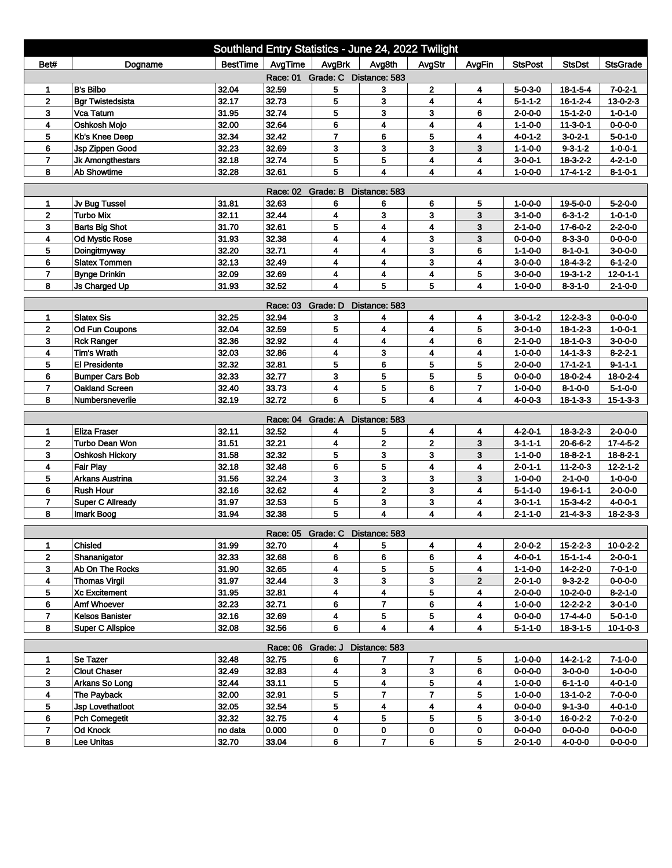| Southland Entry Statistics - June 24, 2022 Twilight |                         |          |                            |                                 |                         |                         |                         |                 |                  |                  |  |
|-----------------------------------------------------|-------------------------|----------|----------------------------|---------------------------------|-------------------------|-------------------------|-------------------------|-----------------|------------------|------------------|--|
| Bet#                                                | Dogname                 | BestTime | AvgTime                    | AvgBrk                          | Avg8th                  | AvgStr                  | AvgFin                  | <b>StsPost</b>  | <b>StsDst</b>    | <b>StsGrade</b>  |  |
| Race: 01 Grade: C Distance: 583                     |                         |          |                            |                                 |                         |                         |                         |                 |                  |                  |  |
| 1                                                   | <b>B's Bilbo</b>        | 32.04    | 32.59                      | 5                               | 3                       | 2                       | 4                       | $5 - 0 - 3 - 0$ | $18 - 1 - 5 - 4$ | $7 - 0 - 2 - 1$  |  |
| $\mathbf{2}$                                        | <b>Bgr Twistedsista</b> | 32.17    | 32.73                      | 5                               | 3                       | 4                       | 4                       | $5 - 1 - 1 - 2$ | $16 - 1 - 2 - 4$ | $13 - 0 - 2 - 3$ |  |
| 3                                                   | Vca Tatum               | 31.95    | 32.74                      | 5                               | 3                       | 3                       | 6                       | $2 - 0 - 0 - 0$ | $15 - 1 - 2 - 0$ | $1 - 0 - 1 - 0$  |  |
| 4                                                   | Oshkosh Mojo            | 32.00    | 32.64                      | 6                               | 4                       | 4                       | 4                       | $1 - 1 - 0 - 0$ | $11 - 3 - 0 - 1$ | $0 - 0 - 0 - 0$  |  |
| 5                                                   | Kb's Knee Deep          | 32.34    | 32.42                      | $\overline{7}$                  | 6                       | 5                       | 4                       | 4-0-1-2         | $3 - 0 - 2 - 1$  | $5 - 0 - 1 - 0$  |  |
| 6                                                   | Jsp Zippen Good         | 32.23    | 32.69                      | 3                               | 3                       | 3                       | 3                       | $1 - 1 - 0 - 0$ | $9 - 3 - 1 - 2$  | $1 - 0 - 0 - 1$  |  |
| $\overline{7}$                                      | Jk Amongthestars        | 32.18    | 32.74                      | 5                               | 5                       | 4                       | 4                       | $3 - 0 - 0 - 1$ | 18-3-2-2         | $4 - 2 - 1 - 0$  |  |
| 8                                                   | <b>Ab Showtime</b>      | 32.28    | 32.61                      | 5                               | 4                       | 4                       | 4                       | $1 - 0 - 0 - 0$ | $17 - 4 - 1 - 2$ | $8 - 1 - 0 - 1$  |  |
| <b>Race: 02</b><br>Grade: B<br>Distance: 583        |                         |          |                            |                                 |                         |                         |                         |                 |                  |                  |  |
| 1                                                   | Jv Bug Tussel           | 31.81    | 32.63                      | 6                               | 6                       | 6                       | 5                       | 1-0-0-0         | 19-5-0-0         | $5 - 2 - 0 - 0$  |  |
| $\overline{2}$                                      | <b>Turbo Mix</b>        | 32.11    | 32.44                      | 4                               | 3                       | 3                       | 3                       | $3 - 1 - 0 - 0$ | $6 - 3 - 1 - 2$  | $1 - 0 - 1 - 0$  |  |
| 3                                                   | <b>Barts Big Shot</b>   | 31.70    | 32.61                      | 5                               | 4                       | 4                       | 3                       | $2 - 1 - 0 - 0$ | 17-6-0-2         | $2 - 2 - 0 - 0$  |  |
| 4                                                   | <b>Od Mystic Rose</b>   | 31.93    | 32.38                      | 4                               | 4                       | 3                       | 3                       | $0 - 0 - 0 - 0$ | $8 - 3 - 3 - 0$  | $0 - 0 - 0 - 0$  |  |
| 5                                                   | Doingitmyway            | 32.20    | 32.71                      | 4                               | 4                       | 3                       | 6                       | $1 - 1 - 0 - 0$ | $8 - 1 - 0 - 1$  | $3 - 0 - 0 - 0$  |  |
| 6                                                   | <b>Slatex Tommen</b>    | 32.13    | 32.49                      | 4                               | 4                       | 3                       | 4                       | $3 - 0 - 0 - 0$ | 18-4-3-2         | $6 - 1 - 2 - 0$  |  |
| $\overline{7}$                                      | <b>Bynge Drinkin</b>    | 32.09    | 32.69                      | 4                               | 4                       | $\overline{\mathbf{4}}$ | 5                       | $3-0-0-0$       | $19 - 3 - 1 - 2$ | $12 - 0 - 1 - 1$ |  |
| 8                                                   | Js Charged Up           | 31.93    | 32.52                      | 4                               | 5                       | 5                       | 4                       | $1 - 0 - 0 - 0$ | $8 - 3 - 1 - 0$  | $2 - 1 - 0 - 0$  |  |
|                                                     |                         |          | Race: 03 Grade: D          |                                 | Distance: 583           |                         |                         |                 |                  |                  |  |
| 1                                                   | <b>Slatex Sis</b>       | 32.25    | 32.94                      | 3                               | 4                       | 4                       | 4                       | $3 - 0 - 1 - 2$ | $12 - 2 - 3 - 3$ | $0 - 0 - 0 - 0$  |  |
| $\mathbf 2$                                         | <b>Od Fun Coupons</b>   | 32.04    | 32.59                      | 5                               | 4                       | 4                       | 5                       | $3 - 0 - 1 - 0$ | $18 - 1 - 2 - 3$ | $1 - 0 - 0 - 1$  |  |
| 3                                                   | <b>Rck Ranger</b>       | 32.36    | 32.92                      | 4                               | 4                       | 4                       | 6                       | $2 - 1 - 0 - 0$ | $18 - 1 - 0 - 3$ | $3 - 0 - 0 - 0$  |  |
| 4                                                   | <b>Tim's Wrath</b>      | 32.03    | 32.86                      | 4                               | 3                       | 4                       | 4                       | $1 - 0 - 0 - 0$ | $14 - 1 - 3 - 3$ | $8 - 2 - 2 - 1$  |  |
| 5                                                   | <b>El Presidente</b>    | 32.32    | 32.81                      | 5                               | 6                       | 5                       | 5                       | $2 - 0 - 0 - 0$ | $17 - 1 - 2 - 1$ | $9 - 1 - 1 - 1$  |  |
| 6                                                   | <b>Bumper Cars Bob</b>  | 32.33    | 32.77                      | 3                               | 5                       | 5                       | 5                       | $0 - 0 - 0 - 0$ | $18 - 0 - 2 - 4$ | 18-0-2-4         |  |
| 7                                                   | <b>Oakland Screen</b>   | 32.40    | 33.73                      | 4                               | 5                       | 6                       | 7                       | $1 - 0 - 0 - 0$ | $8 - 1 - 0 - 0$  | $5 - 1 - 0 - 0$  |  |
| 8                                                   | Numbersneverlie         | 32.19    | 32.72                      | 6                               | 5                       | $\overline{\mathbf{4}}$ | $\overline{\mathbf{4}}$ | $4 - 0 - 0 - 3$ | $18 - 1 - 3 - 3$ | $15 - 1 - 3 - 3$ |  |
|                                                     |                         |          | Race: 04                   | Grade: A                        | Distance: 583           |                         |                         |                 |                  |                  |  |
| 1                                                   | <b>Eliza Fraser</b>     | 32.11    | 32.52                      | 4                               | 5                       | 4                       | 4                       | $4 - 2 - 0 - 1$ | $18 - 3 - 2 - 3$ | $2 - 0 - 0 - 0$  |  |
| $\mathbf{2}$                                        | Turbo Dean Won          | 31.51    | 32.21                      | 4                               | $\overline{\mathbf{2}}$ | $\overline{\mathbf{2}}$ | 3                       | $3 - 1 - 1 - 1$ | $20 - 6 - 6 - 2$ | $17 - 4 - 5 - 2$ |  |
| 3                                                   | Oshkosh Hickory         | 31.58    | 32.32                      | 5                               | 3                       | 3                       | 3                       | $1 - 1 - 0 - 0$ | $18 - 8 - 2 - 1$ | $18 - 8 - 2 - 1$ |  |
| 4                                                   | <b>Fair Play</b>        | 32.18    | 32.48                      | 6                               | 5                       | 4                       | 4                       | $2 - 0 - 1 - 1$ | $11 - 2 - 0 - 3$ | $12 - 2 - 1 - 2$ |  |
| 5                                                   | <b>Arkans Austrina</b>  | 31.56    | 32.24                      | 3                               | 3                       | 3                       | 3                       | $1 - 0 - 0 - 0$ | $2 - 1 - 0 - 0$  | $1 - 0 - 0 - 0$  |  |
| 6                                                   | <b>Rush Hour</b>        | 32.16    | 32.62                      | 4                               | $\overline{2}$          | 3                       | 4                       | $5 - 1 - 1 - 0$ | $19 - 6 - 1 - 1$ | $2 - 0 - 0 - 0$  |  |
| $\overline{7}$                                      | <b>Super C Allready</b> | 31.97    | 32.53                      | 5                               | 3                       | 3                       | 4                       | $3 - 0 - 1 - 1$ | $15 - 3 - 4 - 2$ | $4 - 0 - 0 - 1$  |  |
| 8                                                   | Imark Boog              | 31.94    | 32.38                      | 5                               | 4                       | 4                       | 4                       | $2 - 1 - 1 - 0$ | $21 - 4 - 3 - 3$ | $18 - 2 - 3 - 3$ |  |
|                                                     |                         |          |                            | Race: 05 Grade: C Distance: 583 |                         |                         |                         |                 |                  |                  |  |
| 1                                                   | Chisled                 | 31.99    | 32.70                      | 4                               | 5                       | 4                       | 4                       | $2 - 0 - 0 - 2$ | $15 - 2 - 2 - 3$ | 10-0-2-2         |  |
| $\mathbf{2}$                                        | Shananigator            | 32.33    | 32.68                      | 6                               | 6                       | 6                       | 4                       | $4 - 0 - 0 - 1$ | $15 - 1 - 1 - 4$ | $2 - 0 - 0 - 1$  |  |
| 3                                                   | Ab On The Rocks         | 31.90    | 32.65                      | 4                               | 5                       | 5                       | 4                       | $1 - 1 - 0 - 0$ | 14-2-2-0         | $7 - 0 - 1 - 0$  |  |
| 4                                                   | <b>Thomas Virgil</b>    | 31.97    | 32.44                      | 3                               | 3                       | 3                       | $\overline{2}$          | $2 - 0 - 1 - 0$ | $9 - 3 - 2 - 2$  | $0 - 0 - 0 - 0$  |  |
| 5                                                   | <b>Xc Excitement</b>    | 31.95    | 32.81                      | 4                               | 4                       | 5                       | 4                       | $2 - 0 - 0 - 0$ | $10 - 2 - 0 - 0$ | $8 - 2 - 1 - 0$  |  |
| 6                                                   | Amf Whoever             | 32.23    | 32.71                      | 6                               | 7                       | 6                       | 4                       | 1-0-0-0         | 12-2-2-2         | 3-0-1-0          |  |
| $\overline{7}$                                      | <b>Kelsos Banister</b>  | 32.16    | 32.69                      | 4                               | 5                       | 5                       | 4                       | $0 - 0 - 0 - 0$ | 17-4-4-0         | $5 - 0 - 1 - 0$  |  |
| 8                                                   | <b>Super C Allspice</b> | 32.08    | 32.56                      | 6                               | 4                       | 4                       | 4                       | $5 - 1 - 1 - 0$ | $18-3-1-5$       | $10 - 1 - 0 - 3$ |  |
|                                                     |                         |          |                            |                                 |                         |                         |                         |                 |                  |                  |  |
| 1                                                   | Se Tazer                | 32.48    | Race: 06 Grade: J<br>32.75 | 6                               | Distance: 583<br>7      | 7                       | 5                       | $1 - 0 - 0 - 0$ | $14 - 2 - 1 - 2$ | $7 - 1 - 0 - 0$  |  |
| $\mathbf 2$                                         | <b>Clout Chaser</b>     | 32.49    | 32.83                      | 4                               | 3                       | 3                       | 6                       | $0 - 0 - 0 - 0$ | $3 - 0 - 0 - 0$  | $1 - 0 - 0 - 0$  |  |
| 3                                                   | Arkans So Long          | 32.44    | 33.11                      | 5                               | 4                       | 5                       | 4                       | $1 - 0 - 0 - 0$ | $6 - 1 - 1 - 0$  | $4 - 0 - 1 - 0$  |  |
| 4                                                   | The Payback             | 32.00    | 32.91                      | 5                               | 7                       | $\overline{7}$          | 5                       | $1 - 0 - 0 - 0$ | 13-1-0-2         | $7 - 0 - 0 - 0$  |  |
| 5                                                   | Jsp Lovethatloot        | 32.05    | 32.54                      | 5                               | 4                       | 4                       | 4                       | $0 - 0 - 0 - 0$ | $9 - 1 - 3 - 0$  | $4 - 0 - 1 - 0$  |  |
| 6                                                   | <b>Pch Comegetit</b>    | 32.32    | 32.75                      | 4                               | 5                       | 5                       | 5                       | $3 - 0 - 1 - 0$ | $16 - 0 - 2 - 2$ | $7 - 0 - 2 - 0$  |  |
| 7                                                   | <b>Od Knock</b>         | no data  | 0.000                      | 0                               | 0                       | 0                       | 0                       | $0 - 0 - 0 - 0$ | $0 - 0 - 0 - 0$  | $0 - 0 - 0 - 0$  |  |
| 8                                                   | Lee Unitas              | 32.70    | 33.04                      | 6                               | $\overline{7}$          | 6                       | 5                       | $2 - 0 - 1 - 0$ | $4 - 0 - 0 - 0$  | $0 - 0 - 0 - 0$  |  |
|                                                     |                         |          |                            |                                 |                         |                         |                         |                 |                  |                  |  |